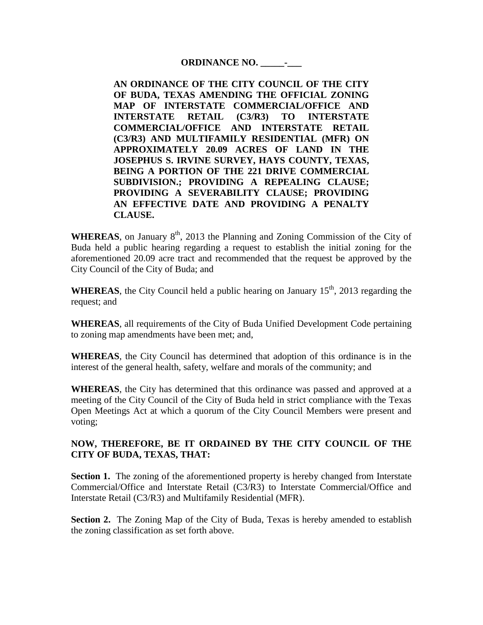**ORDINANCE NO. \_\_\_\_\_-\_\_\_**

**AN ORDINANCE OF THE CITY COUNCIL OF THE CITY OF BUDA, TEXAS AMENDING THE OFFICIAL ZONING MAP OF INTERSTATE COMMERCIAL/OFFICE AND INTERSTATE RETAIL (C3/R3) TO INTERSTATE COMMERCIAL/OFFICE AND INTERSTATE RETAIL (C3/R3) AND MULTIFAMILY RESIDENTIAL (MFR) ON APPROXIMATELY 20.09 ACRES OF LAND IN THE JOSEPHUS S. IRVINE SURVEY, HAYS COUNTY, TEXAS, BEING A PORTION OF THE 221 DRIVE COMMERCIAL SUBDIVISION.; PROVIDING A REPEALING CLAUSE; PROVIDING A SEVERABILITY CLAUSE; PROVIDING AN EFFECTIVE DATE AND PROVIDING A PENALTY CLAUSE.**

**WHEREAS**, on January  $8<sup>th</sup>$ , 2013 the Planning and Zoning Commission of the City of Buda held a public hearing regarding a request to establish the initial zoning for the aforementioned 20.09 acre tract and recommended that the request be approved by the City Council of the City of Buda; and

**WHEREAS**, the City Council held a public hearing on January  $15<sup>th</sup>$ , 2013 regarding the request; and

**WHEREAS**, all requirements of the City of Buda Unified Development Code pertaining to zoning map amendments have been met; and,

**WHEREAS**, the City Council has determined that adoption of this ordinance is in the interest of the general health, safety, welfare and morals of the community; and

**WHEREAS**, the City has determined that this ordinance was passed and approved at a meeting of the City Council of the City of Buda held in strict compliance with the Texas Open Meetings Act at which a quorum of the City Council Members were present and voting;

## **NOW, THEREFORE, BE IT ORDAINED BY THE CITY COUNCIL OF THE CITY OF BUDA, TEXAS, THAT:**

**Section 1.** The zoning of the aforementioned property is hereby changed from Interstate Commercial/Office and Interstate Retail (C3/R3) to Interstate Commercial/Office and Interstate Retail (C3/R3) and Multifamily Residential (MFR).

**Section 2.** The Zoning Map of the City of Buda, Texas is hereby amended to establish the zoning classification as set forth above.